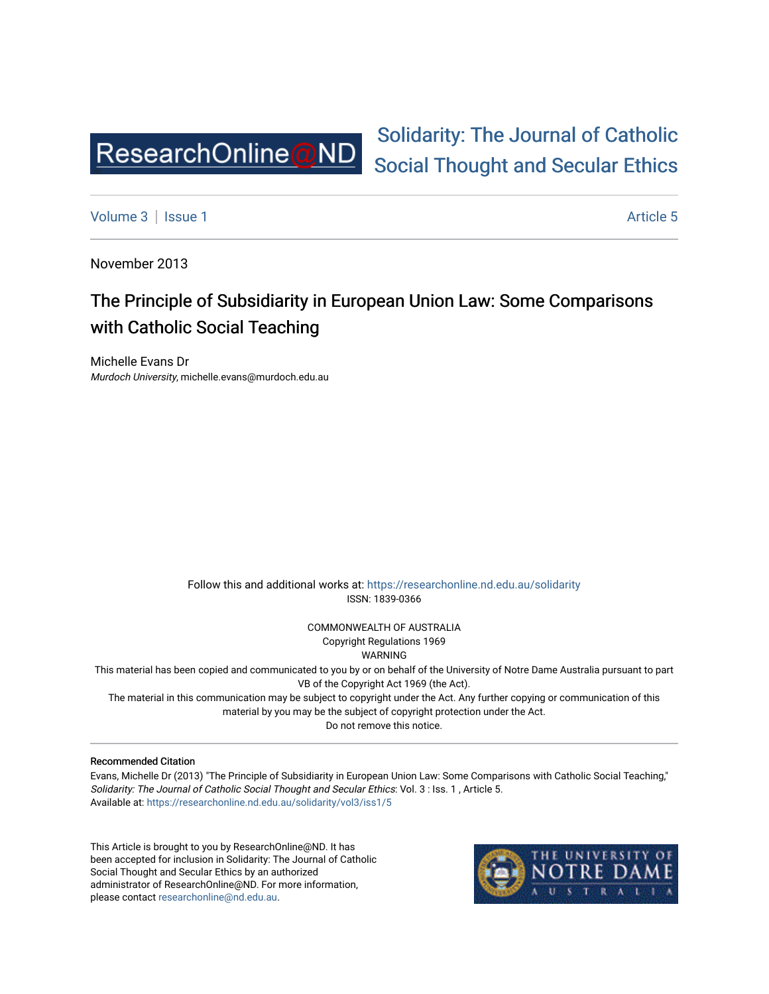

# [Solidarity: The Journal of Catholic](https://researchonline.nd.edu.au/solidarity)  [Social Thought and Secular Ethics](https://researchonline.nd.edu.au/solidarity)

[Volume 3](https://researchonline.nd.edu.au/solidarity/vol3) | [Issue 1](https://researchonline.nd.edu.au/solidarity/vol3/iss1) Article 5

November 2013

## The Principle of Subsidiarity in European Union Law: Some Comparisons with Catholic Social Teaching

Michelle Evans Dr Murdoch University, michelle.evans@murdoch.edu.au

> Follow this and additional works at: [https://researchonline.nd.edu.au/solidarity](https://researchonline.nd.edu.au/solidarity?utm_source=researchonline.nd.edu.au%2Fsolidarity%2Fvol3%2Fiss1%2F5&utm_medium=PDF&utm_campaign=PDFCoverPages)  ISSN: 1839-0366

> > COMMONWEALTH OF AUSTRALIA Copyright Regulations 1969

WARNING

This material has been copied and communicated to you by or on behalf of the University of Notre Dame Australia pursuant to part VB of the Copyright Act 1969 (the Act).

The material in this communication may be subject to copyright under the Act. Any further copying or communication of this material by you may be the subject of copyright protection under the Act.

Do not remove this notice.

#### Recommended Citation

Evans, Michelle Dr (2013) "The Principle of Subsidiarity in European Union Law: Some Comparisons with Catholic Social Teaching," Solidarity: The Journal of Catholic Social Thought and Secular Ethics: Vol. 3 : Iss. 1 , Article 5. Available at: [https://researchonline.nd.edu.au/solidarity/vol3/iss1/5](https://researchonline.nd.edu.au/solidarity/vol3/iss1/5?utm_source=researchonline.nd.edu.au%2Fsolidarity%2Fvol3%2Fiss1%2F5&utm_medium=PDF&utm_campaign=PDFCoverPages) 

This Article is brought to you by ResearchOnline@ND. It has been accepted for inclusion in Solidarity: The Journal of Catholic Social Thought and Secular Ethics by an authorized administrator of ResearchOnline@ND. For more information, please contact [researchonline@nd.edu.au.](mailto:researchonline@nd.edu.au)

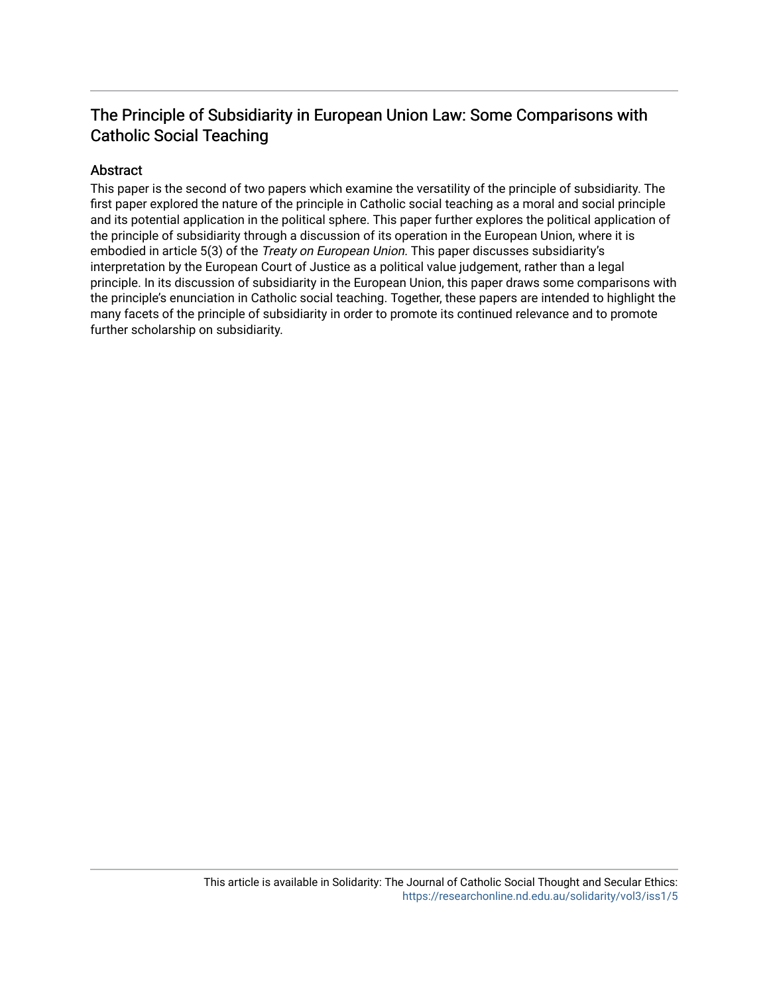### The Principle of Subsidiarity in European Union Law: Some Comparisons with Catholic Social Teaching

#### Abstract

This paper is the second of two papers which examine the versatility of the principle of subsidiarity. The first paper explored the nature of the principle in Catholic social teaching as a moral and social principle and its potential application in the political sphere. This paper further explores the political application of the principle of subsidiarity through a discussion of its operation in the European Union, where it is embodied in article 5(3) of the *Treaty on European Union*. This paper discusses subsidiarity's interpretation by the European Court of Justice as a political value judgement, rather than a legal principle. In its discussion of subsidiarity in the European Union, this paper draws some comparisons with the principle's enunciation in Catholic social teaching. Together, these papers are intended to highlight the many facets of the principle of subsidiarity in order to promote its continued relevance and to promote further scholarship on subsidiarity.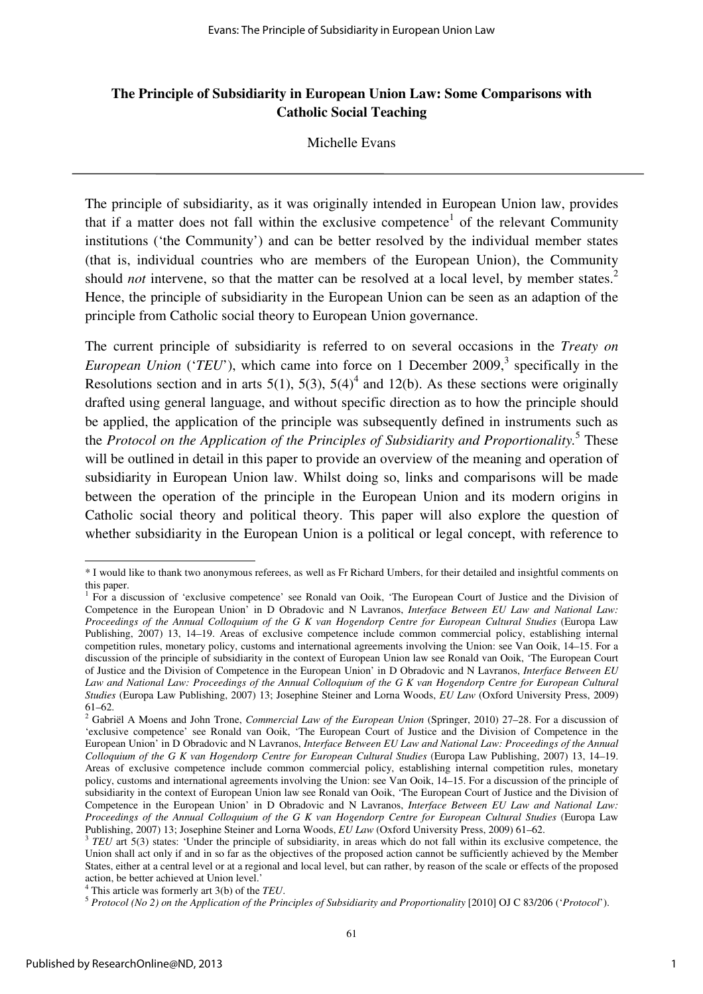#### **The Principle of Subsidiarity in European Union Law: Some Comparisons with Catholic Social Teaching**

Michelle Evans

The principle of subsidiarity, as it was originally intended in European Union law, provides that if a matter does not fall within the exclusive competence<sup>1</sup> of the relevant Community institutions ('the Community') and can be better resolved by the individual member states (that is, individual countries who are members of the European Union), the Community should *not* intervene, so that the matter can be resolved at a local level, by member states.<sup>2</sup> Hence, the principle of subsidiarity in the European Union can be seen as an adaption of the principle from Catholic social theory to European Union governance.

The current principle of subsidiarity is referred to on several occasions in the *Treaty on European Union* (*'TEU'*), which came into force on 1 December 2009,<sup>3</sup> specifically in the Resolutions section and in arts 5(1), 5(3), 5(4)<sup>4</sup> and 12(b). As these sections were originally drafted using general language, and without specific direction as to how the principle should be applied, the application of the principle was subsequently defined in instruments such as the *Protocol on the Application of the Principles of Subsidiarity and Proportionality.*<sup>5</sup> These will be outlined in detail in this paper to provide an overview of the meaning and operation of subsidiarity in European Union law. Whilst doing so, links and comparisons will be made between the operation of the principle in the European Union and its modern origins in Catholic social theory and political theory. This paper will also explore the question of whether subsidiarity in the European Union is a political or legal concept, with reference to

<sup>\*</sup> I would like to thank two anonymous referees, as well as Fr Richard Umbers, for their detailed and insightful comments on this paper.

<sup>&</sup>lt;sup>1</sup> For a discussion of 'exclusive competence' see Ronald van Ooik, 'The European Court of Justice and the Division of Competence in the European Union' in D Obradovic and N Lavranos, *Interface Between EU Law and National Law: Proceedings of the Annual Colloquium of the G K van Hogendorp Centre for European Cultural Studies* (Europa Law Publishing, 2007) 13, 14–19. Areas of exclusive competence include common commercial policy, establishing internal competition rules, monetary policy, customs and international agreements involving the Union: see Van Ooik, 14–15. For a discussion of the principle of subsidiarity in the context of European Union law see Ronald van Ooik, 'The European Court of Justice and the Division of Competence in the European Union' in D Obradovic and N Lavranos, *Interface Between EU Law and National Law: Proceedings of the Annual Colloquium of the G K van Hogendorp Centre for European Cultural Studies* (Europa Law Publishing, 2007) 13; Josephine Steiner and Lorna Woods, *EU Law* (Oxford University Press, 2009) 61–62.

<sup>2</sup> Gabriël A Moens and John Trone, *Commercial Law of the European Union* (Springer, 2010) 27–28. For a discussion of 'exclusive competence' see Ronald van Ooik, 'The European Court of Justice and the Division of Competence in the European Union' in D Obradovic and N Lavranos, *Interface Between EU Law and National Law: Proceedings of the Annual Colloquium of the G K van Hogendorp Centre for European Cultural Studies* (Europa Law Publishing, 2007) 13, 14–19. Areas of exclusive competence include common commercial policy, establishing internal competition rules, monetary policy, customs and international agreements involving the Union: see Van Ooik, 14–15. For a discussion of the principle of subsidiarity in the context of European Union law see Ronald van Ooik, 'The European Court of Justice and the Division of Competence in the European Union' in D Obradovic and N Lavranos, *Interface Between EU Law and National Law: Proceedings of the Annual Colloquium of the G K van Hogendorp Centre for European Cultural Studies* (Europa Law Publishing, 2007) 13; Josephine Steiner and Lorna Woods, *EU Law* (Oxford University Press, 2009) 61–62.

<sup>&</sup>lt;sup>3</sup> TEU art 5(3) states: 'Under the principle of subsidiarity, in areas which do not fall within its exclusive competence, the Union shall act only if and in so far as the objectives of the proposed action cannot be sufficiently achieved by the Member States, either at a central level or at a regional and local level, but can rather, by reason of the scale or effects of the proposed action, be better achieved at Union level.'

<sup>4</sup> This article was formerly art 3(b) of the *TEU*.

<sup>5</sup> *Protocol (No 2) on the Application of the Principles of Subsidiarity and Proportionality* [2010] OJ C 83/206 ('*Protocol*').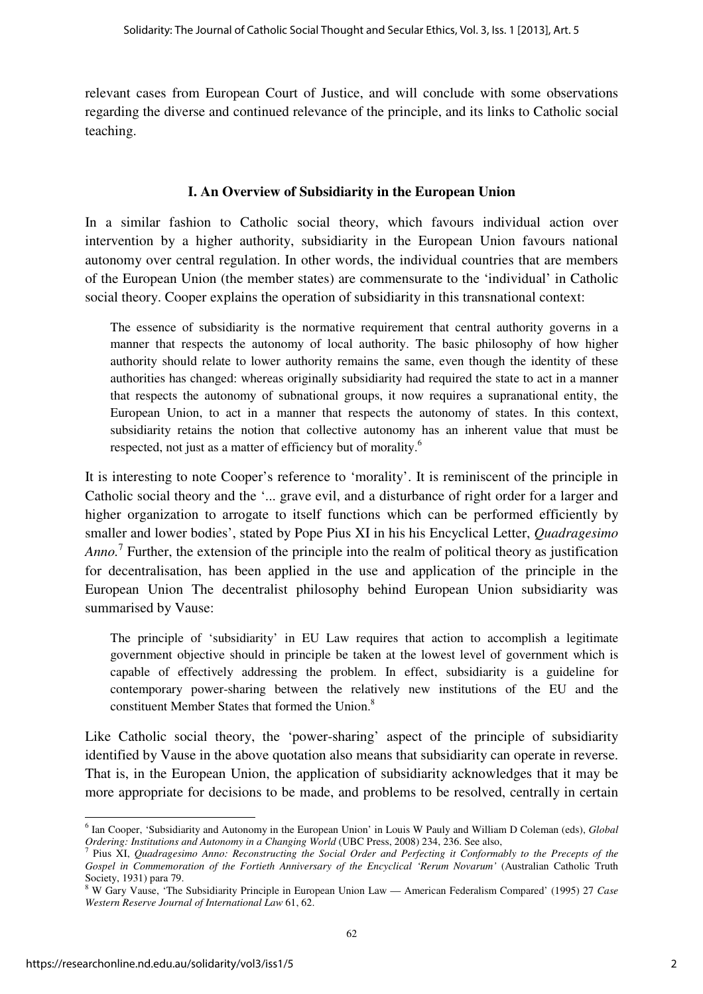relevant cases from European Court of Justice, and will conclude with some observations regarding the diverse and continued relevance of the principle, and its links to Catholic social teaching.

#### **I. An Overview of Subsidiarity in the European Union**

In a similar fashion to Catholic social theory, which favours individual action over intervention by a higher authority, subsidiarity in the European Union favours national autonomy over central regulation. In other words, the individual countries that are members of the European Union (the member states) are commensurate to the 'individual' in Catholic social theory. Cooper explains the operation of subsidiarity in this transnational context:

The essence of subsidiarity is the normative requirement that central authority governs in a manner that respects the autonomy of local authority. The basic philosophy of how higher authority should relate to lower authority remains the same, even though the identity of these authorities has changed: whereas originally subsidiarity had required the state to act in a manner that respects the autonomy of subnational groups, it now requires a supranational entity, the European Union, to act in a manner that respects the autonomy of states. In this context, subsidiarity retains the notion that collective autonomy has an inherent value that must be respected, not just as a matter of efficiency but of morality.<sup>6</sup>

It is interesting to note Cooper's reference to 'morality'. It is reminiscent of the principle in Catholic social theory and the '... grave evil, and a disturbance of right order for a larger and higher organization to arrogate to itself functions which can be performed efficiently by smaller and lower bodies', stated by Pope Pius XI in his his Encyclical Letter, *Quadragesimo*  Anno.<sup>7</sup> Further, the extension of the principle into the realm of political theory as justification for decentralisation, has been applied in the use and application of the principle in the European Union The decentralist philosophy behind European Union subsidiarity was summarised by Vause:

The principle of 'subsidiarity' in EU Law requires that action to accomplish a legitimate government objective should in principle be taken at the lowest level of government which is capable of effectively addressing the problem. In effect, subsidiarity is a guideline for contemporary power-sharing between the relatively new institutions of the EU and the constituent Member States that formed the Union.<sup>8</sup>

Like Catholic social theory, the 'power-sharing' aspect of the principle of subsidiarity identified by Vause in the above quotation also means that subsidiarity can operate in reverse. That is, in the European Union, the application of subsidiarity acknowledges that it may be more appropriate for decisions to be made, and problems to be resolved, centrally in certain

 $\overline{a}$ 6 Ian Cooper, 'Subsidiarity and Autonomy in the European Union' in Louis W Pauly and William D Coleman (eds), *Global Ordering: Institutions and Autonomy in a Changing World* (UBC Press, 2008) 234, 236. See also, *7* Pius XI, *Quadraggius, Annoy Bassortuating the Social Order and Barfosting it Conformal* 

Pius XI, *Quadragesimo Anno: Reconstructing the Social Order and Perfecting it Conformably to the Precepts of the Gospel in Commemoration of the Fortieth Anniversary of the Encyclical 'Rerum Novarum'* (Australian Catholic Truth Society, 1931) para 79.

<sup>8</sup> W Gary Vause, 'The Subsidiarity Principle in European Union Law — American Federalism Compared' (1995) 27 *Case Western Reserve Journal of International Law* 61, 62.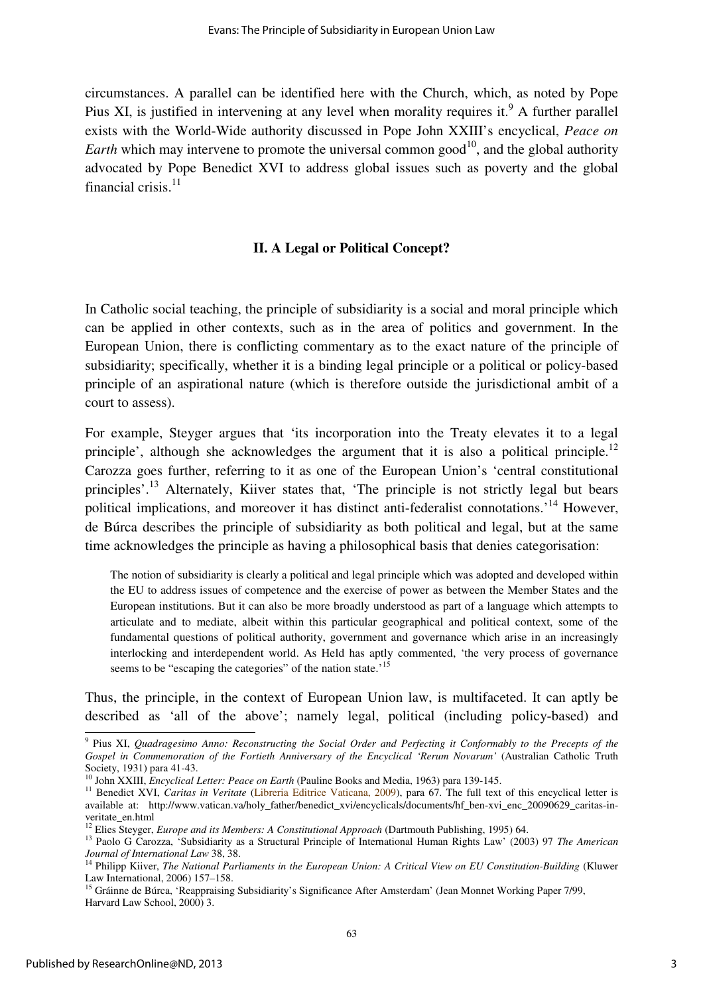circumstances. A parallel can be identified here with the Church, which, as noted by Pope Pius XI, is justified in intervening at any level when morality requires it.<sup>9</sup> A further parallel exists with the World-Wide authority discussed in Pope John XXIII's encyclical, *Peace on Earth* which may intervene to promote the universal common good<sup>10</sup>, and the global authority advocated by Pope Benedict XVI to address global issues such as poverty and the global financial crisis. $11$ 

#### **II. A Legal or Political Concept?**

In Catholic social teaching, the principle of subsidiarity is a social and moral principle which can be applied in other contexts, such as in the area of politics and government. In the European Union, there is conflicting commentary as to the exact nature of the principle of subsidiarity; specifically, whether it is a binding legal principle or a political or policy-based principle of an aspirational nature (which is therefore outside the jurisdictional ambit of a court to assess).

For example, Steyger argues that 'its incorporation into the Treaty elevates it to a legal principle', although she acknowledges the argument that it is also a political principle.<sup>12</sup> Carozza goes further, referring to it as one of the European Union's 'central constitutional principles'.<sup>13</sup> Alternately, Kiiver states that, 'The principle is not strictly legal but bears political implications, and moreover it has distinct anti-federalist connotations.<sup>14</sup> However. de Búrca describes the principle of subsidiarity as both political and legal, but at the same time acknowledges the principle as having a philosophical basis that denies categorisation:

The notion of subsidiarity is clearly a political and legal principle which was adopted and developed within the EU to address issues of competence and the exercise of power as between the Member States and the European institutions. But it can also be more broadly understood as part of a language which attempts to articulate and to mediate, albeit within this particular geographical and political context, some of the fundamental questions of political authority, government and governance which arise in an increasingly interlocking and interdependent world. As Held has aptly commented, 'the very process of governance seems to be "escaping the categories" of the nation state.<sup>15</sup>

Thus, the principle, in the context of European Union law, is multifaceted. It can aptly be described as 'all of the above'; namely legal, political (including policy-based) and

 9 Pius XI, *Quadragesimo Anno: Reconstructing the Social Order and Perfecting it Conformably to the Precepts of the Gospel in Commemoration of the Fortieth Anniversary of the Encyclical 'Rerum Novarum'* (Australian Catholic Truth Society, 1931) para 41-43.

<sup>10</sup> John XXIII, *Encyclical Letter: Peace on Earth* (Pauline Books and Media, 1963) para 139-145.

<sup>&</sup>lt;sup>11</sup> Benedict XVI, *Caritas in Veritate* (Libreria Editrice Vaticana, 2009), para 67. The full text of this encyclical letter is available at: http://www.vatican.va/holy\_father/benedict\_xvi/encyclicals/documents/hf\_ben-xvi\_enc\_20090629\_caritas-inveritate\_en.html

<sup>&</sup>lt;sup>12</sup> Elies Steyger, *Europe and its Members: A Constitutional Approach* (Dartmouth Publishing, 1995) 64.

<sup>13</sup> Paolo G Carozza, 'Subsidiarity as a Structural Principle of International Human Rights Law' (2003) 97 *The American Journal of International Law* 38, 38.

<sup>14</sup> Philipp Kiiver, *The National Parliaments in the European Union: A Critical View on EU Constitution-Building* (Kluwer Law International, 2006) 157–158.

<sup>&</sup>lt;sup>15</sup> Gráinne de Búrca, 'Reappraising Subsidiarity's Significance After Amsterdam' (Jean Monnet Working Paper 7/99, Harvard Law School, 2000) 3.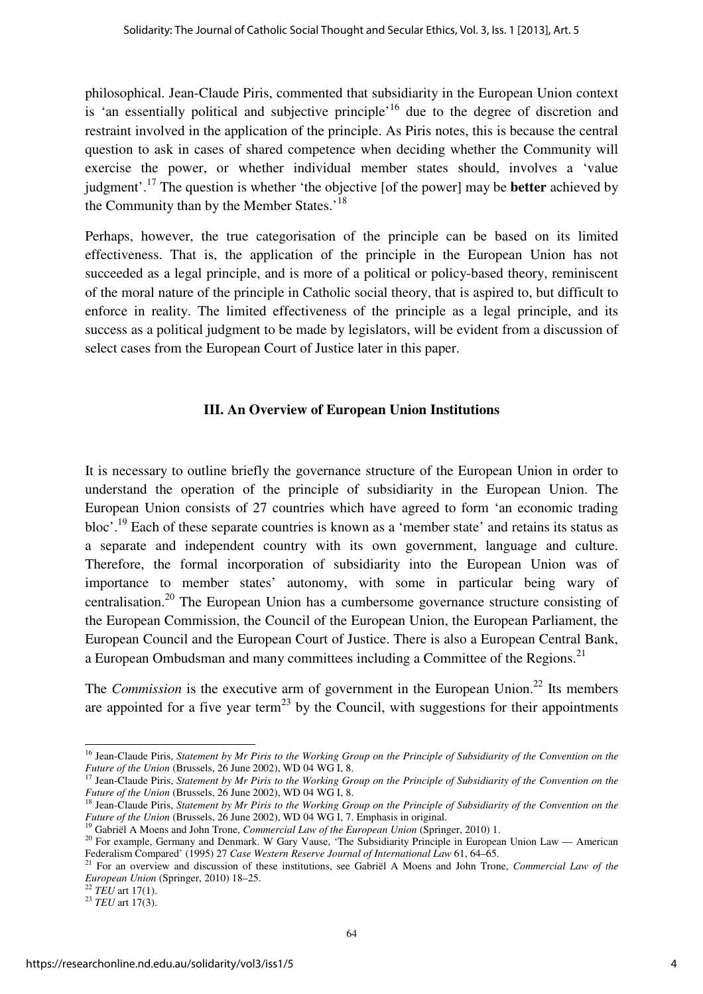philosophical. Jean-Claude Piris, commented that subsidiarity in the European Union context is 'an essentially political and subjective principle'<sup>16</sup> due to the degree of discretion and restraint involved in the application of the principle. As Piris notes, this is because the central question to ask in cases of shared competence when deciding whether the Community will exercise the power, or whether individual member states should, involves a 'value judgment'.<sup>17</sup> The question is whether 'the objective [of the power] may be **better** achieved by the Community than by the Member States.<sup>'18</sup>

Perhaps, however, the true categorisation of the principle can be based on its limited effectiveness. That is, the application of the principle in the European Union has not succeeded as a legal principle, and is more of a political or policy-based theory, reminiscent of the moral nature of the principle in Catholic social theory, that is aspired to, but difficult to enforce in reality. The limited effectiveness of the principle as a legal principle, and its success as a political judgment to be made by legislators, will be evident from a discussion of select cases from the European Court of Justice later in this paper.

#### **III. An Overview of European Union Institutions**

It is necessary to outline briefly the governance structure of the European Union in order to understand the operation of the principle of subsidiarity in the European Union. The European Union consists of 27 countries which have agreed to form 'an economic trading bloc'.<sup>19</sup> Each of these separate countries is known as a 'member state' and retains its status as a separate and independent country with its own government, language and culture. Therefore, the formal incorporation of subsidiarity into the European Union was of importance to member states' autonomy, with some in particular being wary of centralisation.<sup>20</sup> The European Union has a cumbersome governance structure consisting of the European Commission, the Council of the European Union, the European Parliament, the European Council and the European Court of Justice. There is also a European Central Bank, a European Ombudsman and many committees including a Committee of the Regions.<sup>21</sup>

The *Commission* is the executive arm of government in the European Union.<sup>22</sup> Its members are appointed for a five year term<sup>23</sup> by the Council, with suggestions for their appointments

 $\overline{a}$ <sup>16</sup> Jean-Claude Piris, *Statement by Mr Piris to the Working Group on the Principle of Subsidiarity of the Convention on the Future of the Union* (Brussels, 26 June 2002), WD 04 WG I, 8.

<sup>&</sup>lt;sup>17</sup> Jean-Claude Piris, *Statement by Mr Piris to the Working Group on the Principle of Subsidiarity of the Convention on the Future of the Union* (Brussels, 26 June 2002), WD 04 WG I, 8.

<sup>18</sup> Jean-Claude Piris, *Statement by Mr Piris to the Working Group on the Principle of Subsidiarity of the Convention on the Future of the Union* (Brussels, 26 June 2002), WD 04 WG I, 7. Emphasis in original.

<sup>&</sup>lt;sup>19</sup> Gabriël A Moens and John Trone, *Commercial Law of the European Union* (Springer, 2010) 1.

<sup>&</sup>lt;sup>20</sup> For example, Germany and Denmark. W Gary Vause, 'The Subsidiarity Principle in European Union Law — American Federalism Compared' (1995) 27 *Case Western Reserve Journal of International Law* 61, 64–65.

<sup>21</sup> For an overview and discussion of these institutions, see Gabriël A Moens and John Trone, *Commercial Law of the European Union* (Springer, 2010) 18–25.

 $^{22}$  *TEU* art 17(1).

<sup>23</sup> *TEU* art 17(3).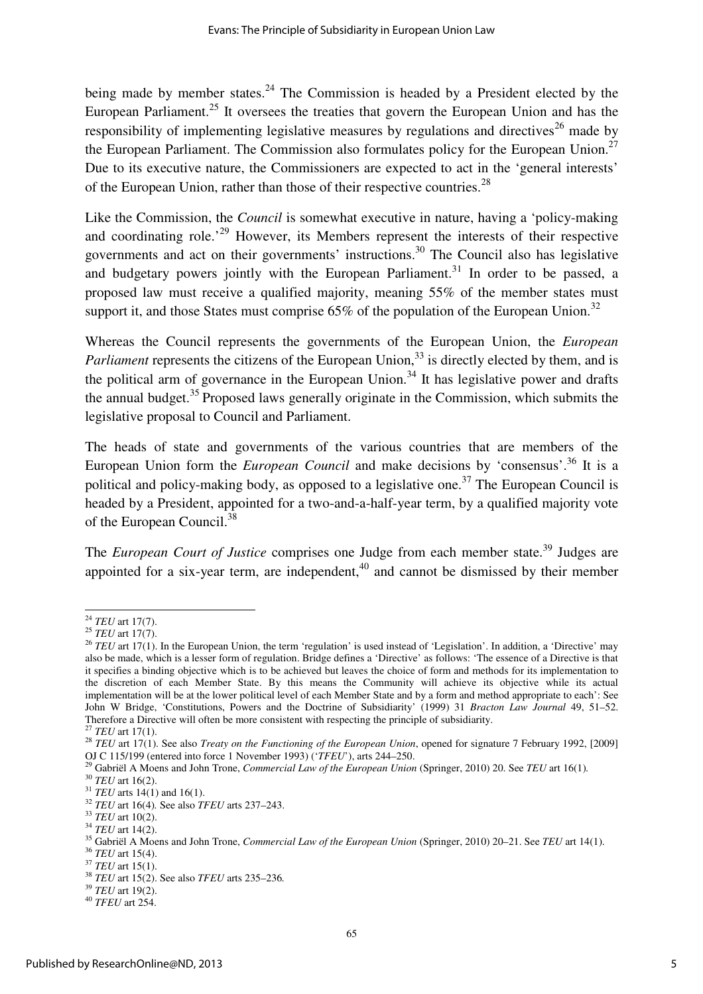being made by member states.<sup>24</sup> The Commission is headed by a President elected by the European Parliament.<sup>25</sup> It oversees the treaties that govern the European Union and has the responsibility of implementing legislative measures by regulations and directives<sup>26</sup> made by the European Parliament. The Commission also formulates policy for the European Union.<sup>27</sup> Due to its executive nature, the Commissioners are expected to act in the 'general interests' of the European Union, rather than those of their respective countries.<sup>28</sup>

Like the Commission, the *Council* is somewhat executive in nature, having a 'policy-making and coordinating role.<sup>29</sup> However, its Members represent the interests of their respective governments and act on their governments' instructions.<sup>30</sup> The Council also has legislative and budgetary powers jointly with the European Parliament.<sup>31</sup> In order to be passed, a proposed law must receive a qualified majority, meaning 55% of the member states must support it, and those States must comprise  $65\%$  of the population of the European Union.<sup>32</sup>

Whereas the Council represents the governments of the European Union, the *European Parliament* represents the citizens of the European Union,<sup>33</sup> is directly elected by them, and is the political arm of governance in the European Union.<sup>34</sup> It has legislative power and drafts the annual budget.<sup>35</sup> Proposed laws generally originate in the Commission, which submits the legislative proposal to Council and Parliament.

The heads of state and governments of the various countries that are members of the European Union form the *European Council* and make decisions by 'consensus'.<sup>36</sup> It is a political and policy-making body, as opposed to a legislative one.<sup>37</sup> The European Council is headed by a President, appointed for a two-and-a-half-year term, by a qualified majority vote of the European Council.<sup>38</sup>

The *European Court of Justice* comprises one Judge from each member state.<sup>39</sup> Judges are appointed for a six-year term, are independent, $40$  and cannot be dismissed by their member

<sup>24</sup> *TEU* art 17(7).

<sup>25</sup> *TEU* art 17(7).

<sup>&</sup>lt;sup>26</sup> *TEU* art 17(1). In the European Union, the term 'regulation' is used instead of 'Legislation'. In addition, a 'Directive' may also be made, which is a lesser form of regulation. Bridge defines a 'Directive' as follows: 'The essence of a Directive is that it specifies a binding objective which is to be achieved but leaves the choice of form and methods for its implementation to the discretion of each Member State. By this means the Community will achieve its objective while its actual implementation will be at the lower political level of each Member State and by a form and method appropriate to each': See John W Bridge, 'Constitutions, Powers and the Doctrine of Subsidiarity' (1999) 31 *Bracton Law Journal* 49, 51–52. Therefore a Directive will often be more consistent with respecting the principle of subsidiarity.

<sup>27</sup> *TEU* art 17(1).

<sup>&</sup>lt;sup>28</sup> *TEU* art 17(1). See also *Treaty on the Functioning of the European Union*, opened for signature 7 February 1992, [2009] OJ C 115/199 (entered into force 1 November 1993) ('*TFEU*'), arts 244–250.

<sup>&</sup>lt;sup>29</sup> Gabriël A Moens and John Trone, *Commercial Law of the European Union* (Springer, 2010) 20. See *TEU* art 16(1).

<sup>30</sup> *TEU* art 16(2).

<sup>&</sup>lt;sup>31</sup> *TEU* arts 14(1) and 16(1).

<sup>32</sup> *TEU* art 16(4)*.* See also *TFEU* arts 237–243.

<sup>33</sup> *TEU* art 10(2).

<sup>34</sup> *TEU* art 14(2).

<sup>35</sup> Gabriël A Moens and John Trone, *Commercial Law of the European Union* (Springer, 2010) 20–21. See *TEU* art 14(1).

<sup>36</sup> *TEU* art 15(4).

<sup>37</sup> *TEU* art 15(1).

<sup>38</sup> *TEU* art 15(2). See also *TFEU* arts 235–236*.*

<sup>39</sup> *TEU* art 19(2).

<sup>40</sup> *TFEU* art 254.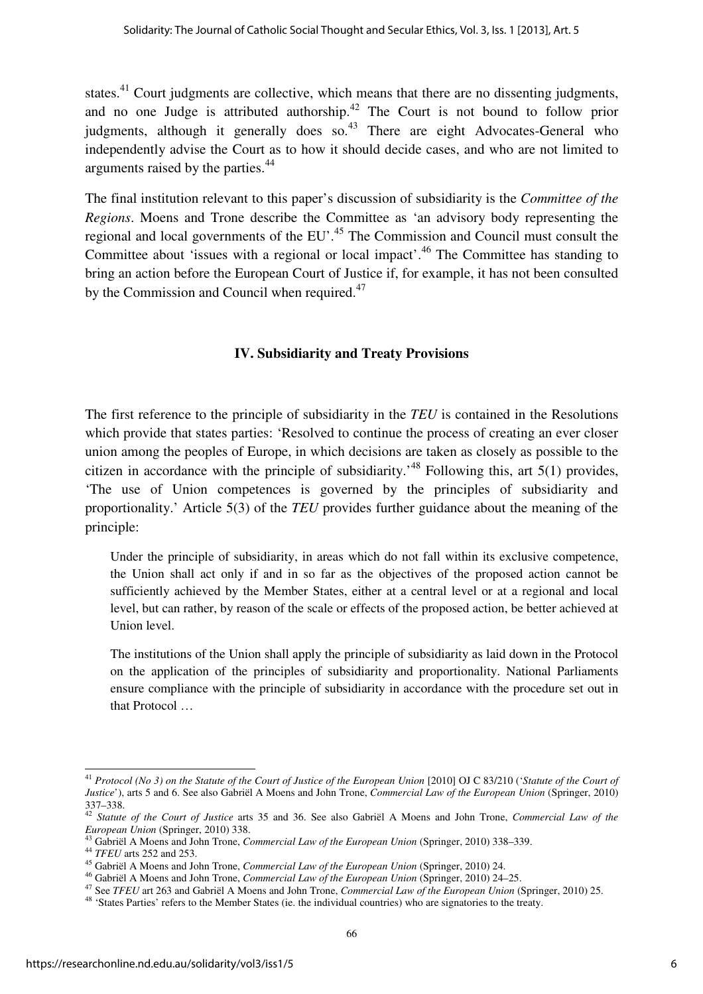states.<sup>41</sup> Court judgments are collective, which means that there are no dissenting judgments, and no one Judge is attributed authorship. $42$  The Court is not bound to follow prior judgments, although it generally does so.<sup>43</sup> There are eight Advocates-General who independently advise the Court as to how it should decide cases, and who are not limited to arguments raised by the parties.<sup>44</sup>

The final institution relevant to this paper's discussion of subsidiarity is the *Committee of the Regions*. Moens and Trone describe the Committee as 'an advisory body representing the regional and local governments of the EU'.<sup>45</sup> The Commission and Council must consult the Committee about 'issues with a regional or local impact'.<sup>46</sup> The Committee has standing to bring an action before the European Court of Justice if, for example, it has not been consulted by the Commission and Council when required.<sup>47</sup>

#### **IV. Subsidiarity and Treaty Provisions**

The first reference to the principle of subsidiarity in the *TEU* is contained in the Resolutions which provide that states parties: 'Resolved to continue the process of creating an ever closer union among the peoples of Europe, in which decisions are taken as closely as possible to the citizen in accordance with the principle of subsidiarity.<sup> $48$ </sup> Following this, art 5(1) provides, 'The use of Union competences is governed by the principles of subsidiarity and proportionality.' Article 5(3) of the *TEU* provides further guidance about the meaning of the principle:

Under the principle of subsidiarity, in areas which do not fall within its exclusive competence, the Union shall act only if and in so far as the objectives of the proposed action cannot be sufficiently achieved by the Member States, either at a central level or at a regional and local level, but can rather, by reason of the scale or effects of the proposed action, be better achieved at Union level.

The institutions of the Union shall apply the principle of subsidiarity as laid down in the Protocol on the application of the principles of subsidiarity and proportionality. National Parliaments ensure compliance with the principle of subsidiarity in accordance with the procedure set out in that Protocol …

<sup>&</sup>lt;sup>41</sup> Protocol (No 3) on the Statute of the Court of Justice of the European Union [2010] OJ C 83/210 (*'Statute of the Court of Justice*'), arts 5 and 6. See also Gabriël A Moens and John Trone, *Commercial Law of the European Union* (Springer, 2010) 337–338.

<sup>42</sup> *Statute of the Court of Justice* arts 35 and 36. See also Gabriël A Moens and John Trone, *Commercial Law of the European Union* (Springer, 2010) 338.

<sup>43</sup> Gabriël A Moens and John Trone, *Commercial Law of the European Union* (Springer, 2010) 338–339.

**<sup>44</sup>** *TFEU* arts 252 and 253.

<sup>45</sup> Gabriël A Moens and John Trone, *Commercial Law of the European Union* (Springer, 2010) 24.

<sup>46</sup> Gabriël A Moens and John Trone, *Commercial Law of the European Union* (Springer, 2010) 24–25.

<sup>47</sup> See *TFEU* art 263 and Gabriël A Moens and John Trone, *Commercial Law of the European Union* (Springer, 2010) 25.

<sup>48</sup> 'States Parties' refers to the Member States (ie. the individual countries) who are signatories to the treaty.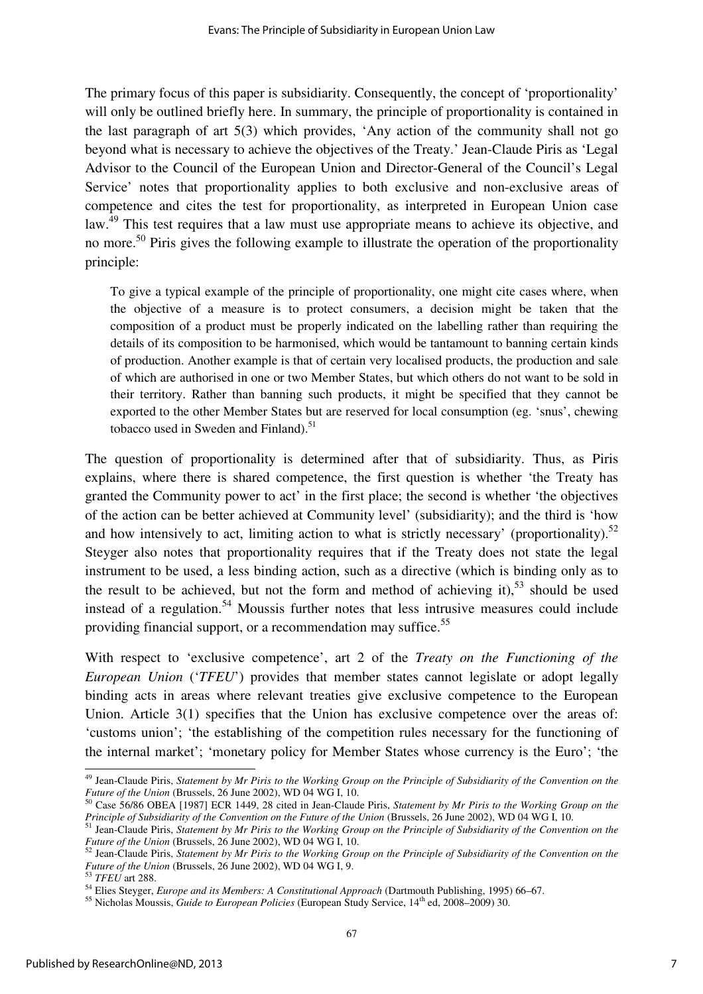The primary focus of this paper is subsidiarity. Consequently, the concept of 'proportionality' will only be outlined briefly here. In summary, the principle of proportionality is contained in the last paragraph of art 5(3) which provides, 'Any action of the community shall not go beyond what is necessary to achieve the objectives of the Treaty.' Jean-Claude Piris as 'Legal Advisor to the Council of the European Union and Director-General of the Council's Legal Service' notes that proportionality applies to both exclusive and non-exclusive areas of competence and cites the test for proportionality, as interpreted in European Union case law.<sup>49</sup> This test requires that a law must use appropriate means to achieve its objective, and no more.<sup>50</sup> Piris gives the following example to illustrate the operation of the proportionality principle:

To give a typical example of the principle of proportionality, one might cite cases where, when the objective of a measure is to protect consumers, a decision might be taken that the composition of a product must be properly indicated on the labelling rather than requiring the details of its composition to be harmonised, which would be tantamount to banning certain kinds of production. Another example is that of certain very localised products, the production and sale of which are authorised in one or two Member States, but which others do not want to be sold in their territory. Rather than banning such products, it might be specified that they cannot be exported to the other Member States but are reserved for local consumption (eg. 'snus', chewing tobacco used in Sweden and Finland). $51$ 

The question of proportionality is determined after that of subsidiarity. Thus, as Piris explains, where there is shared competence, the first question is whether 'the Treaty has granted the Community power to act' in the first place; the second is whether 'the objectives of the action can be better achieved at Community level' (subsidiarity); and the third is 'how and how intensively to act, limiting action to what is strictly necessary' (proportionality).<sup>52</sup> Steyger also notes that proportionality requires that if the Treaty does not state the legal instrument to be used, a less binding action, such as a directive (which is binding only as to the result to be achieved, but not the form and method of achieving it),<sup>53</sup> should be used instead of a regulation.<sup>54</sup> Moussis further notes that less intrusive measures could include providing financial support, or a recommendation may suffice.<sup>55</sup>

With respect to 'exclusive competence', art 2 of the *Treaty on the Functioning of the European Union* ('*TFEU*') provides that member states cannot legislate or adopt legally binding acts in areas where relevant treaties give exclusive competence to the European Union. Article 3(1) specifies that the Union has exclusive competence over the areas of: 'customs union'; 'the establishing of the competition rules necessary for the functioning of the internal market'; 'monetary policy for Member States whose currency is the Euro'; 'the

 $\overline{a}$ <sup>49</sup> Jean-Claude Piris, *Statement by Mr Piris to the Working Group on the Principle of Subsidiarity of the Convention on the Future of the Union* (Brussels, 26 June 2002), WD 04 WG I, 10.

<sup>50</sup> Case 56/86 OBEA [1987] ECR 1449, 28 cited in Jean-Claude Piris, *Statement by Mr Piris to the Working Group on the Principle of Subsidiarity of the Convention on the Future of the Union* (Brussels, 26 June 2002), WD 04 WG I, 10.

<sup>51</sup> Jean-Claude Piris, *Statement by Mr Piris to the Working Group on the Principle of Subsidiarity of the Convention on the Future of the Union* (Brussels, 26 June 2002), WD 04 WG I, 10.

<sup>52</sup> Jean-Claude Piris, *Statement by Mr Piris to the Working Group on the Principle of Subsidiarity of the Convention on the Future of the Union* (Brussels, 26 June 2002), WD 04 WG I, 9.

<sup>53</sup> *TFEU* art 288.

<sup>54</sup> Elies Steyger, *Europe and its Members: A Constitutional Approach* (Dartmouth Publishing, 1995) 66–67.

<sup>55</sup> Nicholas Moussis, *Guide to European Policies* (European Study Service, 14th ed, 2008–2009) 30.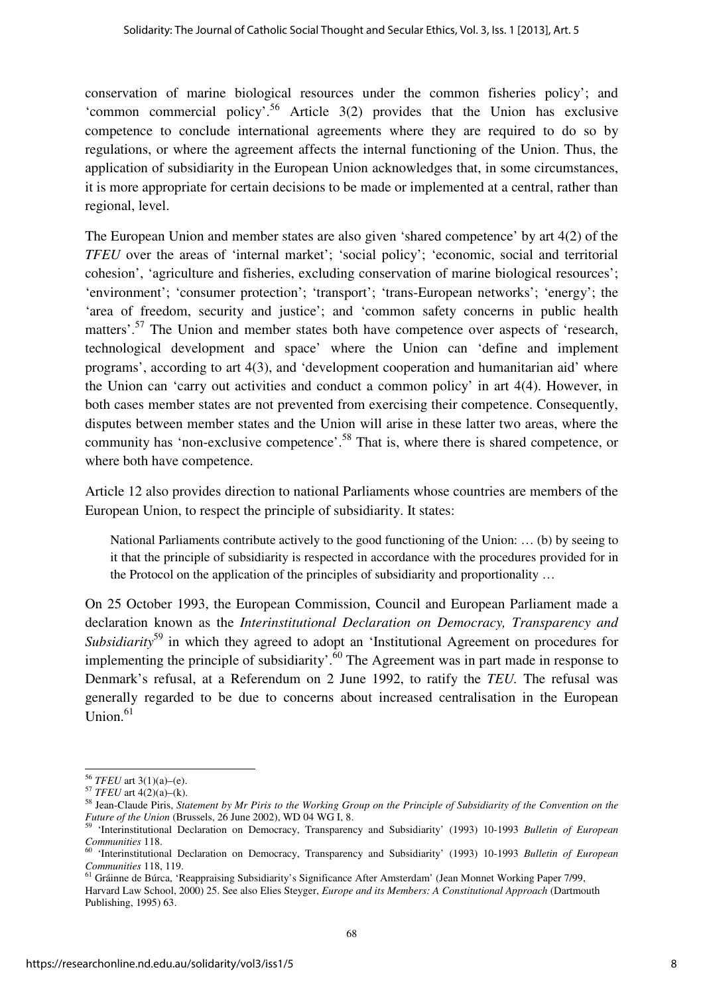conservation of marine biological resources under the common fisheries policy'; and 'common commercial policy'.<sup>56</sup> Article  $3(2)$  provides that the Union has exclusive competence to conclude international agreements where they are required to do so by regulations, or where the agreement affects the internal functioning of the Union. Thus, the application of subsidiarity in the European Union acknowledges that, in some circumstances, it is more appropriate for certain decisions to be made or implemented at a central, rather than regional, level.

The European Union and member states are also given 'shared competence' by art 4(2) of the *TFEU* over the areas of 'internal market'; 'social policy'; 'economic, social and territorial cohesion', 'agriculture and fisheries, excluding conservation of marine biological resources'; 'environment'; 'consumer protection'; 'transport'; 'trans-European networks'; 'energy'; the 'area of freedom, security and justice'; and 'common safety concerns in public health matters'.<sup>57</sup> The Union and member states both have competence over aspects of 'research, technological development and space' where the Union can 'define and implement programs', according to art 4(3), and 'development cooperation and humanitarian aid' where the Union can 'carry out activities and conduct a common policy' in art 4(4). However, in both cases member states are not prevented from exercising their competence. Consequently, disputes between member states and the Union will arise in these latter two areas, where the community has 'non-exclusive competence'.<sup>58</sup> That is, where there is shared competence, or where both have competence.

Article 12 also provides direction to national Parliaments whose countries are members of the European Union, to respect the principle of subsidiarity. It states:

National Parliaments contribute actively to the good functioning of the Union: … (b) by seeing to it that the principle of subsidiarity is respected in accordance with the procedures provided for in the Protocol on the application of the principles of subsidiarity and proportionality …

On 25 October 1993, the European Commission, Council and European Parliament made a declaration known as the *Interinstitutional Declaration on Democracy, Transparency and Subsidiarity*<sup>59</sup> in which they agreed to adopt an 'Institutional Agreement on procedures for implementing the principle of subsidiarity'.<sup>60</sup> The Agreement was in part made in response to Denmark's refusal, at a Referendum on 2 June 1992, to ratify the *TEU.* The refusal was generally regarded to be due to concerns about increased centralisation in the European Union. $61$ 

<sup>56</sup> *TFEU* art 3(1)(a)–(e).

<sup>57</sup> *TFEU* art 4(2)(a)–(k).

<sup>58</sup> Jean-Claude Piris, *Statement by Mr Piris to the Working Group on the Principle of Subsidiarity of the Convention on the Future of the Union* (Brussels, 26 June 2002), WD 04 WG I, 8.

<sup>59</sup> 'Interinstitutional Declaration on Democracy, Transparency and Subsidiarity' (1993) 10-1993 *Bulletin of European Communities* 118.

<sup>60</sup> 'Interinstitutional Declaration on Democracy, Transparency and Subsidiarity' (1993) 10-1993 *Bulletin of European Communities* 118, 119.

<sup>&</sup>lt;sup>61</sup> Gráinne de Búrca, 'Reappraising Subsidiarity's Significance After Amsterdam' (Jean Monnet Working Paper 7/99, Harvard Law School, 2000) 25. See also Elies Steyger, *Europe and its Members: A Constitutional Approach* (Dartmouth Publishing, 1995) 63.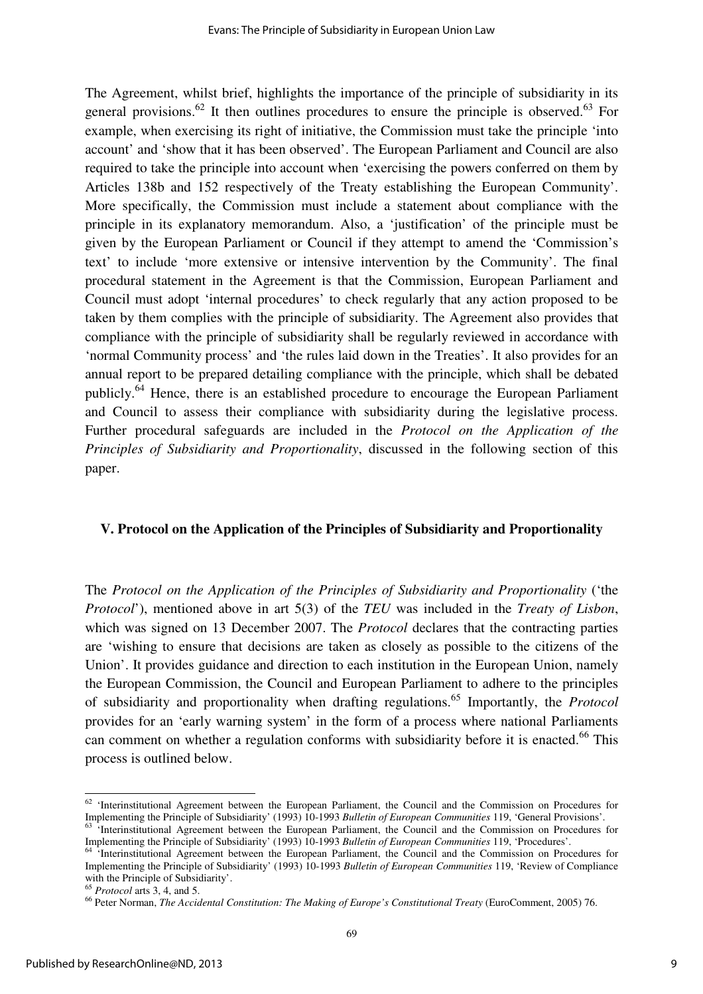The Agreement, whilst brief, highlights the importance of the principle of subsidiarity in its general provisions.<sup>62</sup> It then outlines procedures to ensure the principle is observed.<sup>63</sup> For example, when exercising its right of initiative, the Commission must take the principle 'into account' and 'show that it has been observed'. The European Parliament and Council are also required to take the principle into account when 'exercising the powers conferred on them by Articles 138b and 152 respectively of the Treaty establishing the European Community'. More specifically, the Commission must include a statement about compliance with the principle in its explanatory memorandum. Also, a 'justification' of the principle must be given by the European Parliament or Council if they attempt to amend the 'Commission's text' to include 'more extensive or intensive intervention by the Community'. The final procedural statement in the Agreement is that the Commission, European Parliament and Council must adopt 'internal procedures' to check regularly that any action proposed to be taken by them complies with the principle of subsidiarity. The Agreement also provides that compliance with the principle of subsidiarity shall be regularly reviewed in accordance with 'normal Community process' and 'the rules laid down in the Treaties'. It also provides for an annual report to be prepared detailing compliance with the principle, which shall be debated publicly.<sup>64</sup> Hence, there is an established procedure to encourage the European Parliament and Council to assess their compliance with subsidiarity during the legislative process. Further procedural safeguards are included in the *Protocol on the Application of the Principles of Subsidiarity and Proportionality*, discussed in the following section of this paper.

#### **V. Protocol on the Application of the Principles of Subsidiarity and Proportionality**

The *Protocol on the Application of the Principles of Subsidiarity and Proportionality* ('the *Protocol*'), mentioned above in art 5(3) of the *TEU* was included in the *Treaty of Lisbon*, which was signed on 13 December 2007. The *Protocol* declares that the contracting parties are 'wishing to ensure that decisions are taken as closely as possible to the citizens of the Union'. It provides guidance and direction to each institution in the European Union, namely the European Commission, the Council and European Parliament to adhere to the principles of subsidiarity and proportionality when drafting regulations.<sup>65</sup> Importantly, the *Protocol* provides for an 'early warning system' in the form of a process where national Parliaments can comment on whether a regulation conforms with subsidiarity before it is enacted.<sup>66</sup> This process is outlined below.

 $62$  'Interinstitutional Agreement between the European Parliament, the Council and the Commission on Procedures for Implementing the Principle of Subsidiarity' (1993) 10-1993 *Bulletin of European Communities* 119, 'General Provisions'.

<sup>&</sup>lt;sup>63</sup> 'Interinstitutional Agreement between the European Parliament, the Council and the Commission on Procedures for Implementing the Principle of Subsidiarity' (1993) 10-1993 *Bulletin of European Communities* 119, 'Procedures'.

<sup>&</sup>lt;sup>64</sup> 'Interinstitutional Agreement between the European Parliament, the Council and the Commission on Procedures for Implementing the Principle of Subsidiarity' (1993) 10-1993 *Bulletin of European Communities* 119, 'Review of Compliance with the Principle of Subsidiarity'.

<sup>65</sup> *Protocol* arts 3, 4, and 5.

<sup>&</sup>lt;sup>66</sup> Peter Norman, *The Accidental Constitution: The Making of Europe's Constitutional Treaty (EuroComment, 2005) 76.*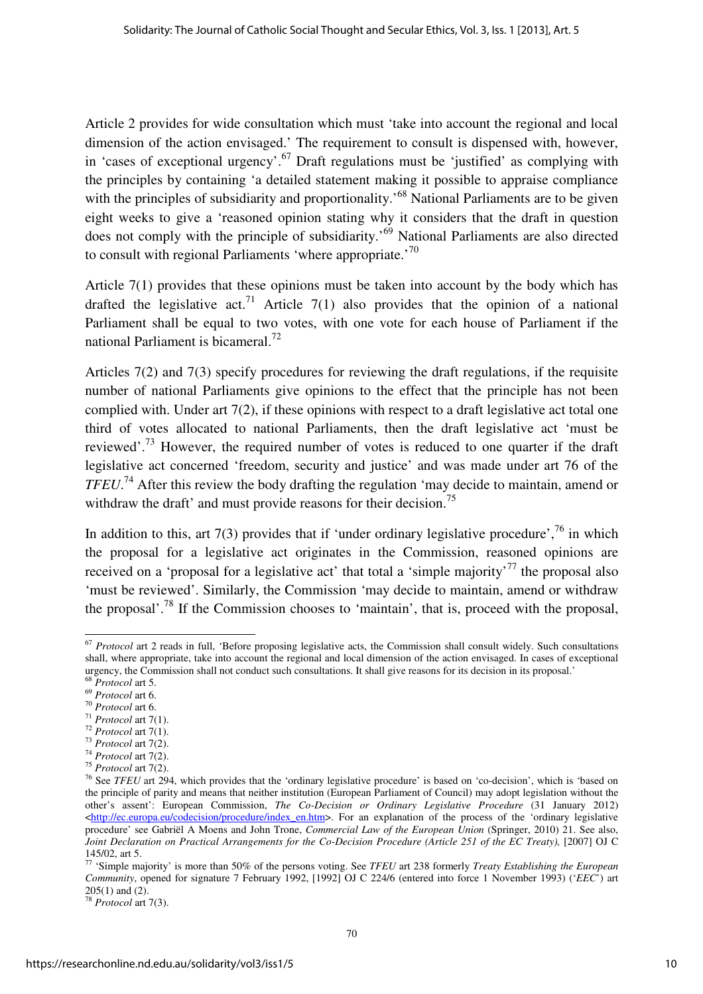Article 2 provides for wide consultation which must 'take into account the regional and local dimension of the action envisaged.' The requirement to consult is dispensed with, however, in 'cases of exceptional urgency'.<sup>67</sup> Draft regulations must be 'justified' as complying with the principles by containing 'a detailed statement making it possible to appraise compliance with the principles of subsidiarity and proportionality.<sup>68</sup> National Parliaments are to be given eight weeks to give a 'reasoned opinion stating why it considers that the draft in question does not comply with the principle of subsidiarity.'<sup>69</sup> National Parliaments are also directed to consult with regional Parliaments 'where appropriate.<sup>'70</sup>

Article 7(1) provides that these opinions must be taken into account by the body which has drafted the legislative act.<sup>71</sup> Article 7(1) also provides that the opinion of a national Parliament shall be equal to two votes, with one vote for each house of Parliament if the national Parliament is bicameral.<sup>72</sup>

Articles 7(2) and 7(3) specify procedures for reviewing the draft regulations, if the requisite number of national Parliaments give opinions to the effect that the principle has not been complied with. Under art 7(2), if these opinions with respect to a draft legislative act total one third of votes allocated to national Parliaments, then the draft legislative act 'must be reviewed'.<sup>73</sup> However, the required number of votes is reduced to one quarter if the draft legislative act concerned 'freedom, security and justice' and was made under art 76 of the *TFEU*. <sup>74</sup> After this review the body drafting the regulation 'may decide to maintain, amend or withdraw the draft' and must provide reasons for their decision.<sup>75</sup>

In addition to this, art  $7(3)$  provides that if 'under ordinary legislative procedure',<sup>76</sup> in which the proposal for a legislative act originates in the Commission, reasoned opinions are received on a 'proposal for a legislative act' that total a 'simple majority'<sup>77</sup> the proposal also 'must be reviewed'. Similarly, the Commission 'may decide to maintain, amend or withdraw the proposal'.<sup>78</sup> If the Commission chooses to 'maintain', that is, proceed with the proposal,

<sup>78</sup> *Protocol* art 7(3).

 $\overline{a}$ <sup>67</sup> *Protocol* art 2 reads in full, 'Before proposing legislative acts, the Commission shall consult widely. Such consultations shall, where appropriate, take into account the regional and local dimension of the action envisaged. In cases of exceptional urgency, the Commission shall not conduct such consultations. It shall give reasons for its decision in its proposal.'

<sup>68</sup> *Protocol* art 5.

<sup>69</sup> *Protocol* art 6. <sup>70</sup> *Protocol* art 6.

<sup>71</sup> *Protocol* art 7(1).

<sup>72</sup> *Protocol* art 7(1). <sup>73</sup> *Protocol* art 7(2).

<sup>74</sup> *Protocol* art 7(2).

<sup>75</sup> *Protocol* art 7(2).

<sup>&</sup>lt;sup>76</sup> See *TFEU* art 294, which provides that the 'ordinary legislative procedure' is based on 'co-decision', which is 'based on the principle of parity and means that neither institution (European Parliament of Council) may adopt legislation without the other's assent': European Commission, *The Co-Decision or Ordinary Legislative Procedure* (31 January 2012) <http://ec.europa.eu/codecision/procedure/index\_en.htm>. For an explanation of the process of the 'ordinary legislative procedure' see Gabriël A Moens and John Trone, *Commercial Law of the European Union* (Springer, 2010) 21. See also, *Joint Declaration on Practical Arrangements for the Co-Decision Procedure (Article 251 of the EC Treaty),* [2007] OJ C 145/02, art 5.

<sup>77</sup> 'Simple majority' is more than 50% of the persons voting. See *TFEU* art 238 formerly *Treaty Establishing the European Community*, opened for signature 7 February 1992, [1992] OJ C 224/6 (entered into force 1 November 1993) ('*EEC*') art  $205(1)$  and  $(2)$ .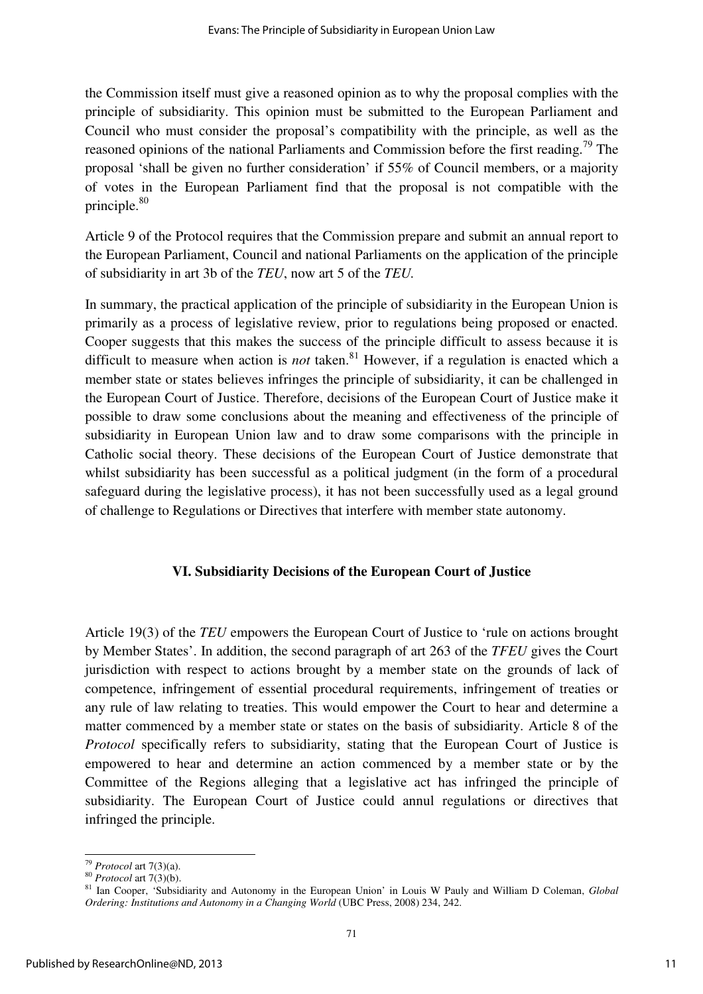the Commission itself must give a reasoned opinion as to why the proposal complies with the principle of subsidiarity. This opinion must be submitted to the European Parliament and Council who must consider the proposal's compatibility with the principle, as well as the reasoned opinions of the national Parliaments and Commission before the first reading.<sup>79</sup> The proposal 'shall be given no further consideration' if 55% of Council members, or a majority of votes in the European Parliament find that the proposal is not compatible with the principle.<sup>80</sup>

Article 9 of the Protocol requires that the Commission prepare and submit an annual report to the European Parliament, Council and national Parliaments on the application of the principle of subsidiarity in art 3b of the *TEU*, now art 5 of the *TEU.* 

In summary, the practical application of the principle of subsidiarity in the European Union is primarily as a process of legislative review, prior to regulations being proposed or enacted. Cooper suggests that this makes the success of the principle difficult to assess because it is difficult to measure when action is *not* taken.<sup>81</sup> However, if a regulation is enacted which a member state or states believes infringes the principle of subsidiarity, it can be challenged in the European Court of Justice. Therefore, decisions of the European Court of Justice make it possible to draw some conclusions about the meaning and effectiveness of the principle of subsidiarity in European Union law and to draw some comparisons with the principle in Catholic social theory. These decisions of the European Court of Justice demonstrate that whilst subsidiarity has been successful as a political judgment (in the form of a procedural safeguard during the legislative process), it has not been successfully used as a legal ground of challenge to Regulations or Directives that interfere with member state autonomy.

#### **VI. Subsidiarity Decisions of the European Court of Justice**

Article 19(3) of the *TEU* empowers the European Court of Justice to 'rule on actions brought by Member States'. In addition, the second paragraph of art 263 of the *TFEU* gives the Court jurisdiction with respect to actions brought by a member state on the grounds of lack of competence, infringement of essential procedural requirements, infringement of treaties or any rule of law relating to treaties. This would empower the Court to hear and determine a matter commenced by a member state or states on the basis of subsidiarity. Article 8 of the *Protocol* specifically refers to subsidiarity, stating that the European Court of Justice is empowered to hear and determine an action commenced by a member state or by the Committee of the Regions alleging that a legislative act has infringed the principle of subsidiarity. The European Court of Justice could annul regulations or directives that infringed the principle.

<sup>79</sup> *Protocol* art 7(3)(a).

<sup>80</sup> *Protocol* art 7(3)(b).

<sup>81</sup> Ian Cooper, 'Subsidiarity and Autonomy in the European Union' in Louis W Pauly and William D Coleman, *Global Ordering: Institutions and Autonomy in a Changing World* (UBC Press, 2008) 234, 242.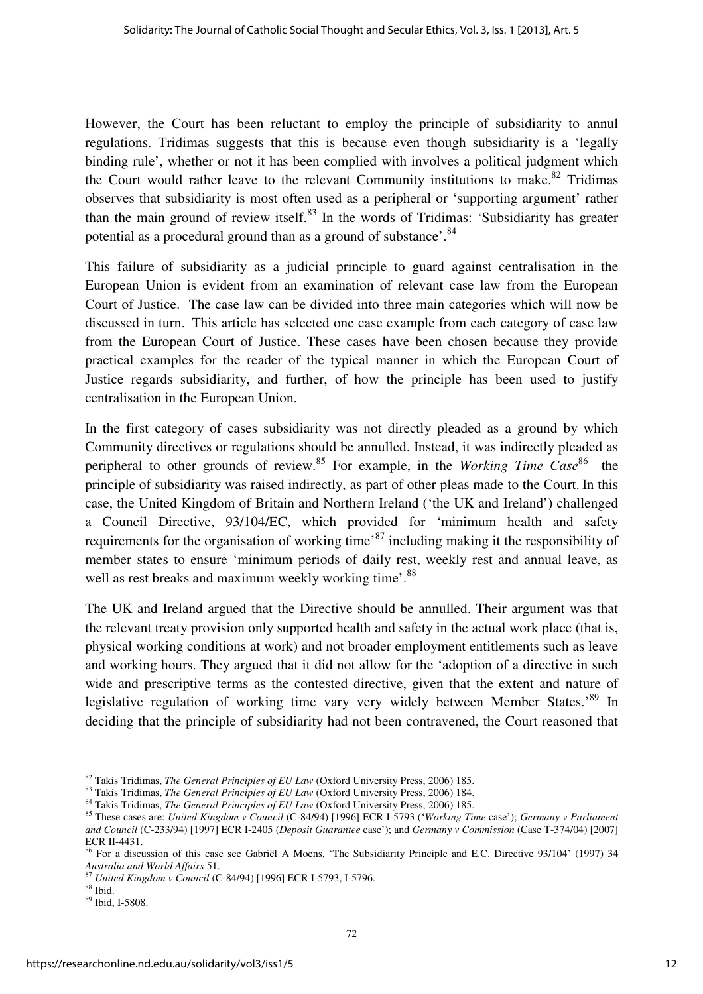However, the Court has been reluctant to employ the principle of subsidiarity to annul regulations. Tridimas suggests that this is because even though subsidiarity is a 'legally binding rule', whether or not it has been complied with involves a political judgment which the Court would rather leave to the relevant Community institutions to make.<sup>82</sup> Tridimas observes that subsidiarity is most often used as a peripheral or 'supporting argument' rather than the main ground of review itself. $83$  In the words of Tridimas: 'Subsidiarity has greater potential as a procedural ground than as a ground of substance'.<sup>84</sup>

This failure of subsidiarity as a judicial principle to guard against centralisation in the European Union is evident from an examination of relevant case law from the European Court of Justice. The case law can be divided into three main categories which will now be discussed in turn. This article has selected one case example from each category of case law from the European Court of Justice. These cases have been chosen because they provide practical examples for the reader of the typical manner in which the European Court of Justice regards subsidiarity, and further, of how the principle has been used to justify centralisation in the European Union.

In the first category of cases subsidiarity was not directly pleaded as a ground by which Community directives or regulations should be annulled. Instead, it was indirectly pleaded as peripheral to other grounds of review.<sup>85</sup> For example, in the *Working Time Case*<sup>86</sup> the principle of subsidiarity was raised indirectly, as part of other pleas made to the Court. In this case, the United Kingdom of Britain and Northern Ireland ('the UK and Ireland') challenged a Council Directive, 93/104/EC, which provided for 'minimum health and safety requirements for the organisation of working time<sup>87</sup> including making it the responsibility of member states to ensure 'minimum periods of daily rest, weekly rest and annual leave, as well as rest breaks and maximum weekly working time'.<sup>88</sup>

The UK and Ireland argued that the Directive should be annulled. Their argument was that the relevant treaty provision only supported health and safety in the actual work place (that is, physical working conditions at work) and not broader employment entitlements such as leave and working hours. They argued that it did not allow for the 'adoption of a directive in such wide and prescriptive terms as the contested directive, given that the extent and nature of legislative regulation of working time vary very widely between Member States.<sup>89</sup> In deciding that the principle of subsidiarity had not been contravened, the Court reasoned that

<sup>82</sup> Takis Tridimas, *The General Principles of EU Law* (Oxford University Press, 2006) 185.

<sup>83</sup> Takis Tridimas, *The General Principles of EU Law* (Oxford University Press, 2006) 184.

<sup>84</sup> Takis Tridimas, *The General Principles of EU Law* (Oxford University Press, 2006) 185.

<sup>85</sup> These cases are: *United Kingdom v Council* (C-84/94) [1996] ECR I-5793 ('*Working Time* case'); *Germany v Parliament and Council* (C-233/94) [1997] ECR I-2405 (*Deposit Guarantee* case'); and *Germany v Commission* (Case T-374/04) [2007] ECR II-4431.

<sup>&</sup>lt;sup>86</sup> For a discussion of this case see Gabriël A Moens, 'The Subsidiarity Principle and E.C. Directive 93/104' (1997) 34 *Australia and World Affairs* 51.

<sup>87</sup> *United Kingdom v Council* (C-84/94) [1996] ECR I-5793, I-5796.

<sup>88</sup> Ibid.

<sup>89</sup> Ibid, I-5808.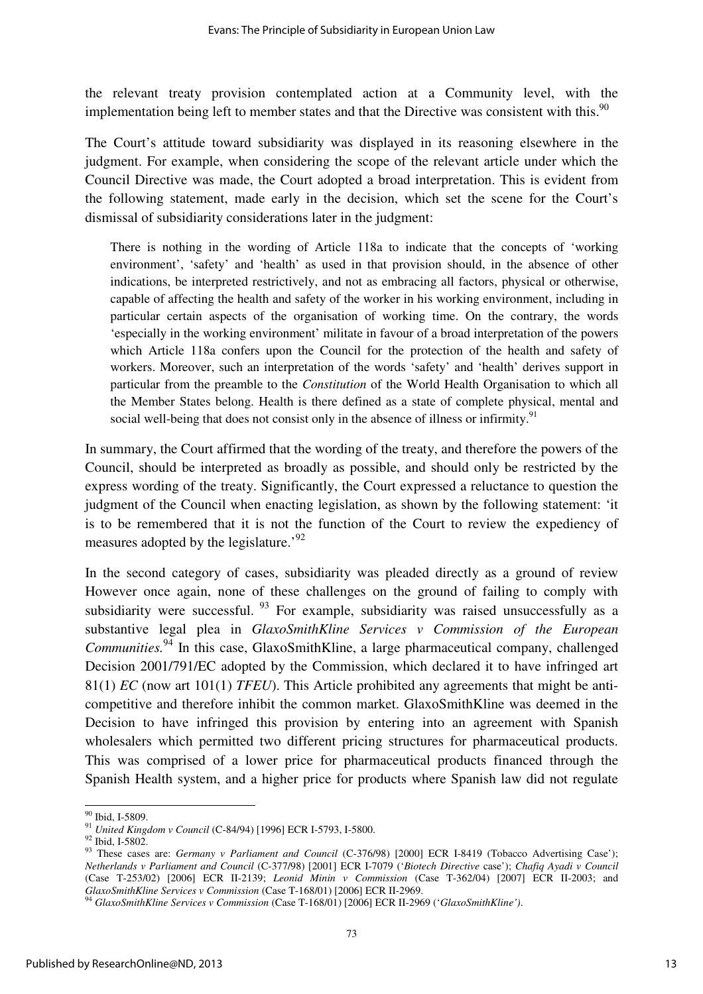the relevant treaty provision contemplated action at a Community level, with the implementation being left to member states and that the Directive was consistent with this.<sup>90</sup>

The Court's attitude toward subsidiarity was displayed in its reasoning elsewhere in the judgment. For example, when considering the scope of the relevant article under which the Council Directive was made, the Court adopted a broad interpretation. This is evident from the following statement, made early in the decision, which set the scene for the Court's dismissal of subsidiarity considerations later in the judgment:

There is nothing in the wording of Article 118a to indicate that the concepts of 'working environment', 'safety' and 'health' as used in that provision should, in the absence of other indications, be interpreted restrictively, and not as embracing all factors, physical or otherwise, capable of affecting the health and safety of the worker in his working environment, including in particular certain aspects of the organisation of working time. On the contrary, the words 'especially in the working environment' militate in favour of a broad interpretation of the powers which Article 118a confers upon the Council for the protection of the health and safety of workers. Moreover, such an interpretation of the words 'safety' and 'health' derives support in particular from the preamble to the *Constitution* of the World Health Organisation to which all the Member States belong. Health is there defined as a state of complete physical, mental and social well-being that does not consist only in the absence of illness or infirmity.<sup>91</sup>

In summary, the Court affirmed that the wording of the treaty, and therefore the powers of the Council, should be interpreted as broadly as possible, and should only be restricted by the express wording of the treaty. Significantly, the Court expressed a reluctance to question the judgment of the Council when enacting legislation, as shown by the following statement: 'it is to be remembered that it is not the function of the Court to review the expediency of measures adopted by the legislature.<sup>92</sup>

In the second category of cases, subsidiarity was pleaded directly as a ground of review However once again, none of these challenges on the ground of failing to comply with subsidiarity were successful.  $93$  For example, subsidiarity was raised unsuccessfully as a substantive legal plea in *GlaxoSmithKline Services v Commission of the European Communities.*<sup>94</sup> In this case, GlaxoSmithKline, a large pharmaceutical company, challenged Decision 2001/791/EC adopted by the Commission, which declared it to have infringed art 81(1) *EC* (now art 101(1) *TFEU*). This Article prohibited any agreements that might be anticompetitive and therefore inhibit the common market. GlaxoSmithKline was deemed in the Decision to have infringed this provision by entering into an agreement with Spanish wholesalers which permitted two different pricing structures for pharmaceutical products. This was comprised of a lower price for pharmaceutical products financed through the Spanish Health system, and a higher price for products where Spanish law did not regulate

 $\overline{a}$ <sup>90</sup> Ibid, I-5809.

<sup>91</sup> *United Kingdom v Council* (C-84/94) [1996] ECR I-5793, I-5800.

<sup>92</sup> Ibid, I-5802.

<sup>&</sup>lt;sup>93</sup> These cases are: *Germany v Parliament and Council* (C-376/98) [2000] ECR I-8419 (Tobacco Advertising Case'); *Netherlands v Parliament and Council* (C-377/98) [2001] ECR I-7079 ('*Biotech Directive* case'); *Chafiq Ayadi v Council* (Case T-253/02) [2006] ECR II-2139; *Leonid Minin v Commission* (Case T-362/04) [2007] ECR II-2003; and *GlaxoSmithKline Services v Commission* (Case T-168/01) [2006] ECR II-2969.

<sup>94</sup> *GlaxoSmithKline Services v Commission* (Case T-168/01) [2006] ECR II-2969 ('*GlaxoSmithKline')*.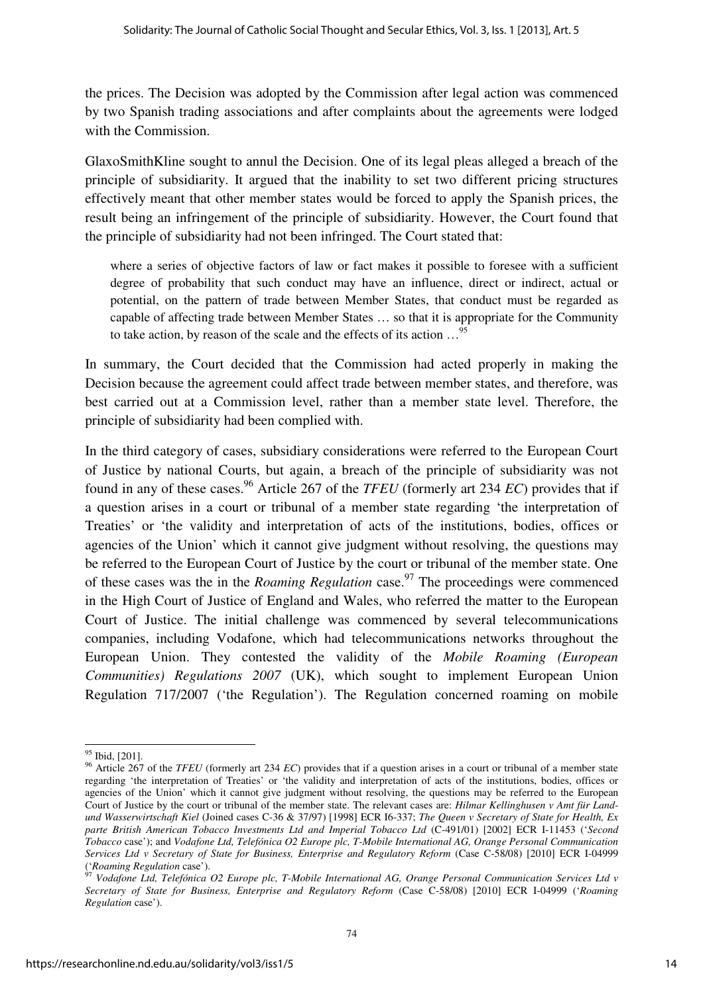the prices. The Decision was adopted by the Commission after legal action was commenced by two Spanish trading associations and after complaints about the agreements were lodged with the Commission.

GlaxoSmithKline sought to annul the Decision. One of its legal pleas alleged a breach of the principle of subsidiarity. It argued that the inability to set two different pricing structures effectively meant that other member states would be forced to apply the Spanish prices, the result being an infringement of the principle of subsidiarity. However, the Court found that the principle of subsidiarity had not been infringed. The Court stated that:

where a series of objective factors of law or fact makes it possible to foresee with a sufficient degree of probability that such conduct may have an influence, direct or indirect, actual or potential, on the pattern of trade between Member States, that conduct must be regarded as capable of affecting trade between Member States … so that it is appropriate for the Community to take action, by reason of the scale and the effects of its action …<sup>95</sup>

In summary, the Court decided that the Commission had acted properly in making the Decision because the agreement could affect trade between member states, and therefore, was best carried out at a Commission level, rather than a member state level. Therefore, the principle of subsidiarity had been complied with.

In the third category of cases, subsidiary considerations were referred to the European Court of Justice by national Courts, but again, a breach of the principle of subsidiarity was not found in any of these cases.<sup>96</sup> Article 267 of the *TFEU* (formerly art 234 *EC*) provides that if a question arises in a court or tribunal of a member state regarding 'the interpretation of Treaties' or 'the validity and interpretation of acts of the institutions, bodies, offices or agencies of the Union' which it cannot give judgment without resolving, the questions may be referred to the European Court of Justice by the court or tribunal of the member state. One of these cases was the in the *Roaming Regulation* case.<sup>97</sup> The proceedings were commenced in the High Court of Justice of England and Wales, who referred the matter to the European Court of Justice. The initial challenge was commenced by several telecommunications companies, including Vodafone, which had telecommunications networks throughout the European Union. They contested the validity of the *Mobile Roaming (European Communities) Regulations 2007* (UK), which sought to implement European Union Regulation 717/2007 ('the Regulation'). The Regulation concerned roaming on mobile

 $\overline{a}$ <sup>95</sup> Ibid, [201].

<sup>&</sup>lt;sup>96</sup> Article 267 of the *TFEU* (formerly art 234 *EC*) provides that if a question arises in a court or tribunal of a member state regarding 'the interpretation of Treaties' or 'the validity and interpretation of acts of the institutions, bodies, offices or agencies of the Union' which it cannot give judgment without resolving, the questions may be referred to the European Court of Justice by the court or tribunal of the member state. The relevant cases are: *Hilmar Kellinghusen v Amt für Landund Wasserwirtschaft Kiel* (Joined cases C-36 & 37/97) [1998] ECR I6-337; *The Queen v Secretary of State for Health, Ex parte British American Tobacco Investments Ltd and Imperial Tobacco Ltd* (C-491/01) [2002] ECR I-11453 ('*Second Tobacco* case'); and *Vodafone Ltd, Telefónica O2 Europe plc, T-Mobile International AG, Orange Personal Communication Services Ltd v Secretary of State for Business, Enterprise and Regulatory Reform* (Case C-58/08) [2010] ECR I-04999 ('*Roaming Regulation* case').

<sup>97</sup> *Vodafone Ltd, Telefónica O2 Europe plc, T-Mobile International AG, Orange Personal Communication Services Ltd v Secretary of State for Business, Enterprise and Regulatory Reform* (Case C-58/08) [2010] ECR I-04999 ('*Roaming Regulation* case').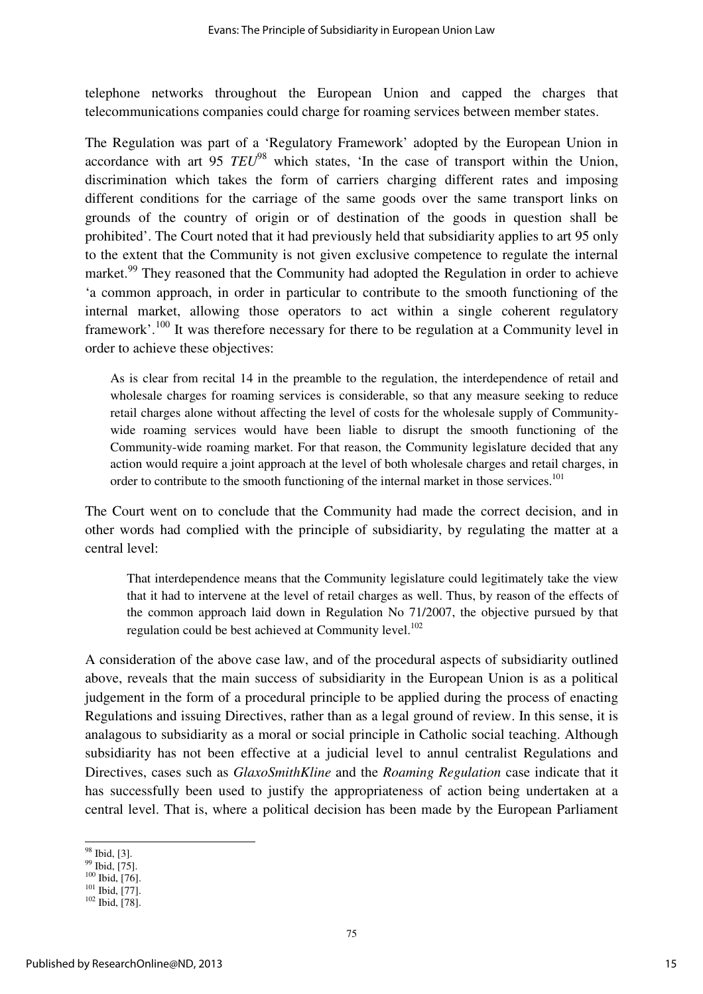telephone networks throughout the European Union and capped the charges that telecommunications companies could charge for roaming services between member states.

The Regulation was part of a 'Regulatory Framework' adopted by the European Union in accordance with art 95 *TEU*<sup>98</sup> which states, 'In the case of transport within the Union, discrimination which takes the form of carriers charging different rates and imposing different conditions for the carriage of the same goods over the same transport links on grounds of the country of origin or of destination of the goods in question shall be prohibited'. The Court noted that it had previously held that subsidiarity applies to art 95 only to the extent that the Community is not given exclusive competence to regulate the internal market.<sup>99</sup> They reasoned that the Community had adopted the Regulation in order to achieve 'a common approach, in order in particular to contribute to the smooth functioning of the internal market, allowing those operators to act within a single coherent regulatory framework'.<sup>100</sup> It was therefore necessary for there to be regulation at a Community level in order to achieve these objectives:

As is clear from recital 14 in the preamble to the regulation, the interdependence of retail and wholesale charges for roaming services is considerable, so that any measure seeking to reduce retail charges alone without affecting the level of costs for the wholesale supply of Communitywide roaming services would have been liable to disrupt the smooth functioning of the Community-wide roaming market. For that reason, the Community legislature decided that any action would require a joint approach at the level of both wholesale charges and retail charges, in order to contribute to the smooth functioning of the internal market in those services.<sup>101</sup>

The Court went on to conclude that the Community had made the correct decision, and in other words had complied with the principle of subsidiarity, by regulating the matter at a central level:

That interdependence means that the Community legislature could legitimately take the view that it had to intervene at the level of retail charges as well. Thus, by reason of the effects of the common approach laid down in Regulation No 71/2007, the objective pursued by that regulation could be best achieved at Community level.<sup>102</sup>

A consideration of the above case law, and of the procedural aspects of subsidiarity outlined above, reveals that the main success of subsidiarity in the European Union is as a political judgement in the form of a procedural principle to be applied during the process of enacting Regulations and issuing Directives, rather than as a legal ground of review. In this sense, it is analagous to subsidiarity as a moral or social principle in Catholic social teaching. Although subsidiarity has not been effective at a judicial level to annul centralist Regulations and Directives, cases such as *GlaxoSmithKline* and the *Roaming Regulation* case indicate that it has successfully been used to justify the appropriateness of action being undertaken at a central level. That is, where a political decision has been made by the European Parliament

 $\overline{a}$ <sup>98</sup> Ibid, [3].

 $^{99}$  Ibid, [75].

 $100$  Ibid, [76].

<sup>101</sup> Ibid, [77]. <sup>102</sup> Ibid, [78].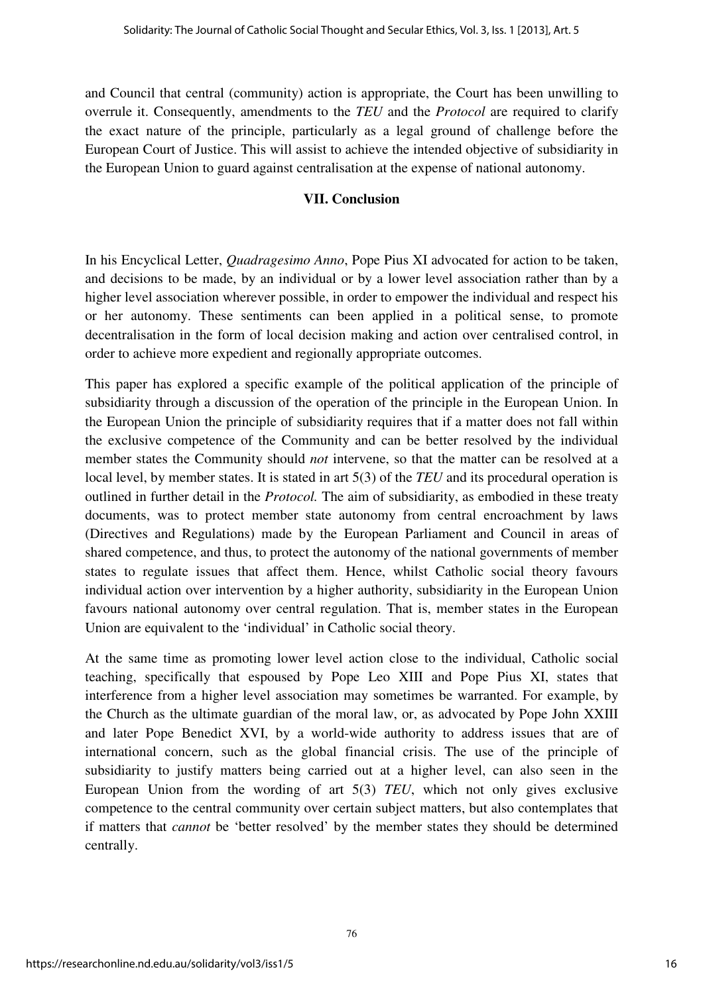and Council that central (community) action is appropriate, the Court has been unwilling to overrule it. Consequently, amendments to the *TEU* and the *Protocol* are required to clarify the exact nature of the principle, particularly as a legal ground of challenge before the European Court of Justice. This will assist to achieve the intended objective of subsidiarity in the European Union to guard against centralisation at the expense of national autonomy.

### **VII. Conclusion**

In his Encyclical Letter, *Quadragesimo Anno*, Pope Pius XI advocated for action to be taken, and decisions to be made, by an individual or by a lower level association rather than by a higher level association wherever possible, in order to empower the individual and respect his or her autonomy. These sentiments can been applied in a political sense, to promote decentralisation in the form of local decision making and action over centralised control, in order to achieve more expedient and regionally appropriate outcomes.

This paper has explored a specific example of the political application of the principle of subsidiarity through a discussion of the operation of the principle in the European Union. In the European Union the principle of subsidiarity requires that if a matter does not fall within the exclusive competence of the Community and can be better resolved by the individual member states the Community should *not* intervene, so that the matter can be resolved at a local level, by member states. It is stated in art 5(3) of the *TEU* and its procedural operation is outlined in further detail in the *Protocol.* The aim of subsidiarity, as embodied in these treaty documents, was to protect member state autonomy from central encroachment by laws (Directives and Regulations) made by the European Parliament and Council in areas of shared competence, and thus, to protect the autonomy of the national governments of member states to regulate issues that affect them. Hence, whilst Catholic social theory favours individual action over intervention by a higher authority, subsidiarity in the European Union favours national autonomy over central regulation. That is, member states in the European Union are equivalent to the 'individual' in Catholic social theory.

At the same time as promoting lower level action close to the individual, Catholic social teaching, specifically that espoused by Pope Leo XIII and Pope Pius XI, states that interference from a higher level association may sometimes be warranted. For example, by the Church as the ultimate guardian of the moral law, or, as advocated by Pope John XXIII and later Pope Benedict XVI, by a world-wide authority to address issues that are of international concern, such as the global financial crisis. The use of the principle of subsidiarity to justify matters being carried out at a higher level, can also seen in the European Union from the wording of art 5(3) *TEU*, which not only gives exclusive competence to the central community over certain subject matters, but also contemplates that if matters that *cannot* be 'better resolved' by the member states they should be determined centrally.